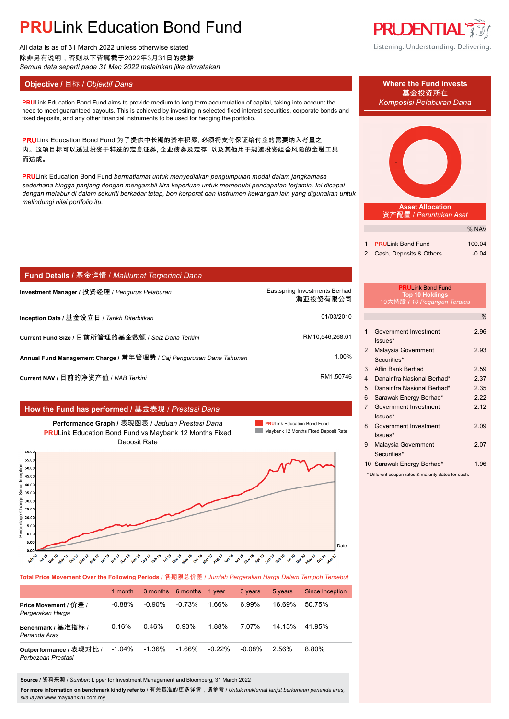# **PRU**Link Education Bond Fund

All data is as of 31 March 2022 unless otherwise stated 除非另有说明,否则以下皆属截于2022年3月31日的数据 *Semua data seperti pada 31 Mac 2022 melainkan jika dinyatakan*

### **Objective / 目标 /** *Objektif Dana* **Where the Fund invests</u>**

**PRU**Link Education Bond Fund aims to provide medium to long term accumulation of capital, taking into account the *Komposisi Pelaburan Dana* need to meet guaranteed payouts. This is achieved by investing in selected fixed interest securities, corporate bonds and fixed deposits, and any other financial instruments to be used for hedging the portfolio.

PRULink Education Bond Fund 为了提供中长期的资本积累, 必须将支付保证给付金的需要纳入考量之 内。这项目标可以透过投资于特选的定息证券, 企业债券及定存, 以及其他用于规避投资组合风险的金融工具 而达成。

**PRU**Link Education Bond Fund *bermatlamat untuk menyediakan pengumpulan modal dalam jangkamasa sederhana hingga panjang dengan mengambil kira keperluan untuk memenuhi pendapatan terjamin. Ini dicapai dengan melabur di dalam sekuriti berkadar tetap, bon korporat dan instrumen kewangan lain yang digunakan untuk melindungi nilai portfolio itu.*

|  |  |  | <mark>Fund Details / 基金</mark> 详情 / Maklumat Terperinci Dana <i> </i> |
|--|--|--|-----------------------------------------------------------------------|
|--|--|--|-----------------------------------------------------------------------|

| Investment Manager / 投资经理 / Pengurus Pelaburan                      | Eastspring Investments Berhad<br>瀚亚投资有限公司 |
|---------------------------------------------------------------------|-------------------------------------------|
| Inception Date / 基金设立日 / Tarikh Diterbitkan                         | 01/03/2010                                |
| Current Fund Size / 目前所管理的基金数额 / Saiz Dana Terkini                  | RM10,546,268.01                           |
| Annual Fund Management Charge / 常年管理费 / Caj Pengurusan Dana Tahunan | 1.00%                                     |
|                                                                     |                                           |

**Current NAV / 目前的净资产值 /** *NAB Terkini* **RM1.50746.** AM 1.50746

### **How the Fund has performed /** 基金表现 / *Prestasi Dana*

**Performance Graph /** 表现图表 / *Jaduan Prestasi Dana* **PRU**Link Education Bond Fund vs Maybank 12 Months Fixed Deposit Rate





#### **Total Price Movement Over the Following Periods /** 各期限总价差 / *Jumlah Pergerakan Harga Dalam Tempoh Tersebut*

|                                               | 1 month   |           | 3 months 6 months | 1 vear   | 3 years   | 5 years | <b>Since Inception</b> |
|-----------------------------------------------|-----------|-----------|-------------------|----------|-----------|---------|------------------------|
| Price Movement / 价差 /<br>Pergerakan Harga     | $-0.88\%$ | $-0.90\%$ | $-0.73%$          | 1.66%    | 6.99%     | 16 69%  | 50.75%                 |
| Benchmark / 基准指标 /<br>Penanda Aras            | 0.16%     | 0.46%     | 0.93%             | 1.88%    | 7.07%     | 14.13%  | 41.95%                 |
| Outperformance / 表现对比 /<br>Perbezaan Prestasi | $-1.04\%$ | -1.36%    | $-1.66%$          | $-0.22%$ | $-0.08\%$ | 2.56%   | 8.80%                  |

**Source /** 资料来源 / *Sumber*: Lipper for Investment Management and Bloomberg, 31 March 2022

**For more information on benchmark kindly refer to** / 有关基准的更多详情,请参考 / *Untuk maklumat lanjut berkenaan penanda aras, sila layari* www.maybank2u.com.my

### **PRUDENTIAL** Listening. Understanding. Delivering.

基金投资所在



|                           | 1911    |
|---------------------------|---------|
|                           |         |
| 1 PRULink Bond Fund       | 100.04  |
| 2 Cash, Deposits & Others | $-0.04$ |

 $0/2$  NIAV

#### **PRU**Link Bond Fund **Top 10 Holdings** 10大持股 **/** *10 Pegangan Teratas*

|                |                                    | %    |
|----------------|------------------------------------|------|
| 1              | Government Investment<br>$lssues*$ | 2.96 |
| $\overline{2}$ | Malaysia Government<br>Securities* | 2.93 |
| 3              | Affin Bank Berhad                  | 2.59 |
| 4              | Danainfra Nasional Berhad*         | 2.37 |
| 5              | Danainfra Nasional Berhad*         | 2 35 |
| 6              | Sarawak Energy Berhad*             | 222  |
| $\overline{7}$ | Government Investment<br>$lssues*$ | 2.12 |
| 8              | Government Investment<br>$lssues*$ | 2.09 |
| 9              | Malaysia Government<br>Securities* | 2.07 |
|                | 10 Sarawak Energy Berhad*          | 1.96 |

\* Different coupon rates & maturity dates for each.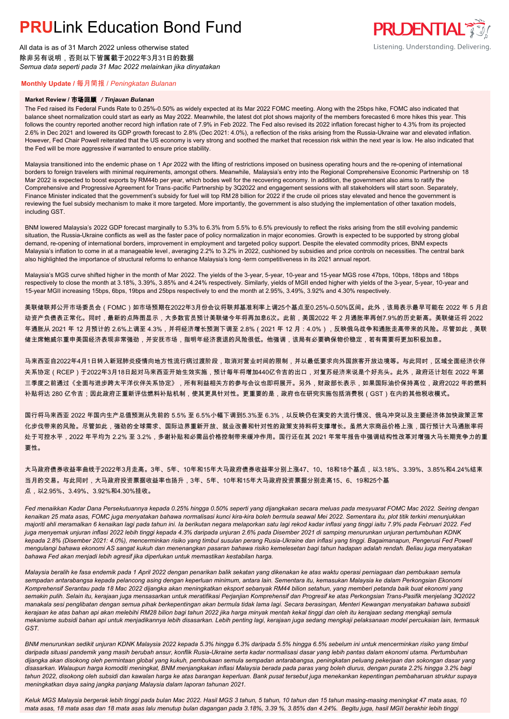# **PRUL** ink Education Bond Fund

All data is as of 31 March 2022 unless otherwise stated 除非另有说明,否则以下皆属截于2022年3月31日的数据 *Semua data seperti pada 31 Mac 2022 melainkan jika dinyatakan*

## **PRUDENTIAL** Listening. Understanding. Delivering.

### **Monthly Update /** 每月简报 / *Peningkatan Bulanan*

#### **Market Review /** 市场回顾 */ Tinjauan Bulanan*

The Fed raised its Federal Funds Rate to 0.25%-0.50% as widely expected at its Mar 2022 FOMC meeting. Along with the 25bps hike, FOMC also indicated that balance sheet normalization could start as early as May 2022. Meanwhile, the latest dot plot shows majority of the members forecasted 6 more hikes this year. This follows the country reported another record high inflation rate of 7.9% in Feb 2022. The Fed also revised its 2022 inflation forecast higher to 4.3% from its projected 2.6% in Dec 2021 and lowered its GDP growth forecast to 2.8% (Dec 2021: 4.0%), a reflection of the risks arising from the Russia-Ukraine war and elevated inflation. However, Fed Chair Powell reiterated that the US economy is very strong and soothed the market that recession risk within the next year is low. He also indicated that the Fed will be more aggressive if warranted to ensure price stability.

Malaysia transitioned into the endemic phase on 1 Apr 2022 with the lifting of restrictions imposed on business operating hours and the re-opening of international borders to foreign travelers with minimal requirements, amongst others. Meanwhile, Malaysia's entry into the Regional Comprehensive Economic Partnership on 18 Mar 2022 is expected to boost exports by RM44b per year, which bodes well for the recovering economy. In addition, the government also aims to ratify the Comprehensive and Progressive Agreement for Trans-pacific Partnership by 3Q2022 and engagement sessions with all stakeholders will start soon. Separately, Finance Minister indicated that the government's subsidy for fuel will top RM 28 billion for 2022 if the crude oil prices stay elevated and hence the government is reviewing the fuel subsidy mechanism to make it more targeted. More importantly, the government is also studying the implementation of other taxation models, including GST.

BNM lowered Malaysia's 2022 GDP forecast marginally to 5.3% to 6.3% from 5.5% to 6.5% previously to reflect the risks arising from the still evolving pandemic situation, the Russia-Ukraine conflicts as well as the faster pace of policy normalization in major economies. Growth is expected to be supported by strong global demand, re-opening of international borders, improvement in employment and targeted policy support. Despite the elevated commodity prices, BNM expects Malaysia's inflation to come in at a manageable level, averaging 2.2% to 3.2% in 2022, cushioned by subsidies and price controls on necessities. The central bank also highlighted the importance of structural reforms to enhance Malaysia's long -term competitiveness in its 2021 annual report.

Malaysia's MGS curve shifted higher in the month of Mar 2022. The yields of the 3-year, 5-year, 10-year and 15-year MGS rose 47bps, 10bps, 18bps and 18bps respectively to close the month at 3.18%, 3.39%, 3.85% and 4.24% respectively. Similarly, yields of MGII ended higher with yields of the 3-year, 5-year, 10-year and 15-year MGII increasing 15bps, 6bps, 19bps and 25bps respectively to end the month at 2.95%, 3.49%, 3.92% and 4.30% respectively.

美联储联邦公开市场委员会(FOMC)如市场预期在2022年3月份会议将联邦基准利率上调25个基点至0.25%-0.50%区间。此外,该局表示最早可能在 2022 年 5 月启 动资产负债表正常化。同时,最新的点阵图显示,大多数官员预计美联储今年将再加息6次。此前,美国2022 年 2 月通胀率再创7.9%的历史新高。美联储还将 2022 年通胀从 2021 年 12 月预计的 2.6%上调至 4.3%,并将经济增长预测下调至 2.8%(2021 年 12 月:4.0%),反映俄乌战争和通胀走高带来的风险。尽管如此,美联 储主席鲍威尔重申美国经济表现非常强劲,并安抚市场,指明年经济衰退的风险很低。他强调,该局有必要确保物价稳定,若有需要将更加积极加息。

马来西亚自2022年4月1日转入新冠肺炎疫情向地方性流行病过渡阶段,取消对营业时间的限制,并以最低要求向外国旅客开放边境等。与此同时,区域全面经济伙伴 关系协定(RCEP)于2022年3月18日起对马来西亚开始生效实施,预计每年将增加440亿令吉的出口,对复苏经济来说是个好兆头。此外,政府还计划在 2022 年第 三季度之前通过《全面与进步跨太平洋伙伴关系协定》,所有利益相关方的参与会议也即将展开。另外,财政部长表示,如果国际油价保持高位,政府2022 年的燃料 补贴将达 280 亿令吉;因此政府正重新评估燃料补贴机制,使其更具针对性。更重要的是,政府也在研究实施包括消费税(GST)在内的其他税收模式。

国行将马来西亚 2022 年国内生产总值预测从先前的 5.5% 至 6.5%小幅下调到5.3%至 6.3%,以反映仍在演变的大流行情况、俄乌冲突以及主要经济体加快政策正常 化步伐带来的风险。尽管如此,强劲的全球需求、国际边界重新开放、就业改善和针对性的政策支持料将支撑增长。虽然大宗商品价格上涨,国行预计大马通胀率将 处于可控水平,2022 年平均为 2.2% 至 3.2%,多谢补贴和必需品价格控制带来缓冲作用。国行还在其 2021 年常年报告中强调结构性改革对增强大马长期竞争力的重 要性。

大马政府债券收益率曲线于2022年3月走高。3年、5年、10年和15年大马政府债券收益率分别上涨47、10、18和18个基点,以3.18%、3.39%、3.85%和4.24%结束 当月的交易。与此同时,大马政府投资票据收益率也扬升,3年、5年、10年和15年大马政府投资票据分别走高15、6、19和25个基 点,以2.95%、3.49%、3.92%和4.30%挂收。

*Fed menaikkan Kadar Dana Persekutuannya kepada 0.25% hingga 0.50% seperti yang dijangkakan secara meluas pada mesyuarat FOMC Mac 2022. Seiring dengan kenaikan 25 mata asas, FOMC juga menyatakan bahawa normalisasi kunci kira-kira boleh bermula seawal Mei 2022. Sementara itu, plot titik terkini menunjukkan majoriti ahli meramalkan 6 kenaikan lagi pada tahun ini. Ia berikutan negara melaporkan satu lagi rekod kadar inflasi yang tinggi iaitu 7.9% pada Februari 2022. Fed juga menyemak unjuran inflasi 2022 lebih tinggi kepada 4.3% daripada unjuran 2.6% pada Disember 2021 di samping menurunkan unjuran pertumbuhan KDNK kepada 2.8% (Disember 2021: 4.0%), mencerminkan risiko yang timbul susulan perang Rusia-Ukraine dan inflasi yang tinggi. Bagaimanapun, Pengerusi Fed Powell mengulangi bahawa ekonomi AS sangat kukuh dan menenangkan pasaran bahawa risiko kemelesetan bagi tahun hadapan adalah rendah. Beliau juga menyatakan bahawa Fed akan menjadi lebih agresif jika diperlukan untuk memastikan kestabilan harga.*

*Malaysia beralih ke fasa endemik pada 1 April 2022 dengan penarikan balik sekatan yang dikenakan ke atas waktu operasi perniagaan dan pembukaan semula sempadan antarabangsa kepada pelancong asing dengan keperluan minimum, antara lain. Sementara itu, kemasukan Malaysia ke dalam Perkongsian Ekonomi Komprehensif Serantau pada 18 Mac 2022 dijangka akan meningkatkan eksport sebanyak RM44 bilion setahun, yang memberi petanda baik buat ekonomi yang semakin pulih. Selain itu, kerajaan juga mensasarkan untuk meratifikasi Perjanjian Komprehensif dan Progresif ke atas Perkongsian Trans-Pasifik menjelang 3Q2022 manakala sesi penglibatan dengan semua pihak berkepentingan akan bermula tidak lama lagi. Secara berasingan, Menteri Kewangan menyatakan bahawa subsidi kerajaan ke atas bahan api akan melebihi RM28 bilion bagi tahun 2022 jika harga minyak mentah kekal tinggi dan oleh itu kerajaan sedang mengkaji semula mekanisme subsidi bahan api untuk menjadikannya lebih disasarkan. Lebih penting lagi, kerajaan juga sedang mengkaji pelaksanaan model percukaian lain, termasuk GST.*

*BNM menurunkan sedikit unjuran KDNK Malaysia 2022 kepada 5.3% hingga 6.3% daripada 5.5% hingga 6.5% sebelum ini untuk mencerminkan risiko yang timbul daripada situasi pandemik yang masih berubah ansur, konflik Rusia-Ukraine serta kadar normalisasi dasar yang lebih pantas dalam ekonomi utama. Pertumbuhan dijangka akan disokong oleh permintaan global yang kukuh, pembukaan semula sempadan antarabangsa, peningkatan peluang pekerjaan dan sokongan dasar yang disasarkan. Walaupun harga komoditi meningkat, BNM menjangkakan inflasi Malaysia berada pada paras yang boleh diurus, dengan purata 2.2% hingga 3.2% bagi tahun 2022, disokong oleh subsidi dan kawalan harga ke atas barangan keperluan. Bank pusat tersebut juga menekankan kepentingan pembaharuan struktur supaya meningkatkan daya saing jangka panjang Malaysia dalam laporan tahunan 2021.*

*Keluk MGS Malaysia bergerak lebih tinggi pada bulan Mac 2022. Hasil MGS 3 tahun, 5 tahun, 10 tahun dan 15 tahun masing-masing meningkat 47 mata asas, 10 mata asas, 18 mata asas dan 18 mata asas lalu menutup bulan dagangan pada 3.18%, 3.39 %, 3.85% dan 4.24%. Begitu juga, hasil MGII berakhir lebih tinggi*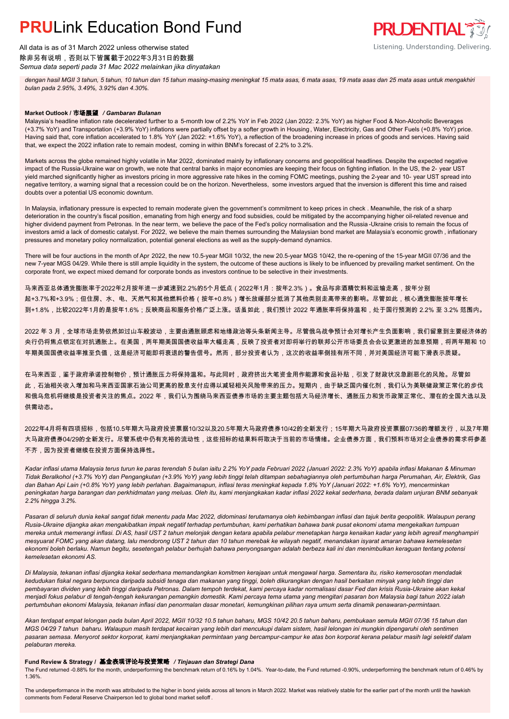## **PRUL** ink Education Bond Fund

All data is as of 31 March 2022 unless otherwise stated 除非另有说明,否则以下皆属截于2022年3月31日的数据 *Semua data seperti pada 31 Mac 2022 melainkan jika dinyatakan*

*dengan hasil MGII 3 tahun, 5 tahun, 10 tahun dan 15 tahun masing-masing meningkat 15 mata asas, 6 mata asas, 19 mata asas dan 25 mata asas untuk mengakhiri bulan pada 2.95%, 3.49%, 3.92% dan 4.30%.*

**PRUDENTIAL** 

Listening. Understanding. Delivering.

#### **Market Outlook /** 市场展望 */ Gambaran Bulanan*

Malaysia's headline inflation rate decelerated further to a 5-month low of 2.2% YoY in Feb 2022 (Jan 2022: 2.3% YoY) as higher Food & Non-Alcoholic Beverages (+3.7% YoY) and Transportation (+3.9% YoY) inflations were partially offset by a softer growth in Housing , Water, Electricity, Gas and Other Fuels (+0.8% YoY) price. Having said that, core inflation accelerated to 1.8% YoY (Jan 2022: +1.6% YoY), a reflection of the broadening increase in prices of goods and services. Having said that, we expect the 2022 inflation rate to remain modest, coming in within BNM's forecast of 2.2% to 3.2%.

Markets across the globe remained highly volatile in Mar 2022, dominated mainly by inflationary concerns and geopolitical headlines. Despite the expected negative impact of the Russia-Ukraine war on growth, we note that central banks in major economies are keeping their focus on fighting inflation. In the US, the 2- year UST yield marched significantly higher as investors pricing in more aggressive rate hikes in the coming FOMC meetings, pushing the 2-year and 10- year UST spread into negative territory, a warning signal that a recession could be on the horizon. Nevertheless, some investors argued that the inversion is different this time and raised doubts over a potential US economic downturn.

In Malaysia, inflationary pressure is expected to remain moderate given the government's commitment to keep prices in check . Meanwhile, the risk of a sharp deterioration in the country's fiscal position, emanating from high energy and food subsidies, could be mitigated by the accompanying higher oil-related revenue and higher dividend payment from Petronas. In the near term, we believe the pace of the Fed's policy normalisation and the Russia -Ukraine crisis to remain the focus of investors amid a lack of domestic catalyst. For 2022, we believe the main themes surrounding the Malaysian bond market are Malaysia's economic growth, inflationary pressures and monetary policy normalization, potential general elections as well as the supply-demand dynamics.

There will be four auctions in the month of Apr 2022, the new 10.5-year MGII 10/32, the new 20.5-year MGS 10/42, the re-opening of the 15-year MGII 07/36 and the new 7-year MGS 04/29. While there is still ample liquidity in the system, the outcome of these auctions is likely to be influenced by prevailing market sentiment. On the corporate front, we expect mixed demand for corporate bonds as investors continue to be selective in their investments.

马来西亚总体通货膨胀率于2022年2月按年进一步减速到2.2%的5个月低点(2022年1月:按年2.3%)。食品与非酒精饮料和运输走高,按年分别 起+3.7%和+3.9%;但住房、水、电、天然气和其他燃料价格(按年+0.8%)增长放缓部分抵消了其他类别走高带来的影响。尽管如此,核心通货膨胀按年增长 到+1.8%,比较2022年1月的是按年1.6%;反映商品和服务价格广泛上涨。话虽如此,我们预计 2022 年通胀率将保持温和,处于国行预测的 2.2% 至 3.2% 范围内。

2022 年 3 月,全球市场走势依然如过山车般波动,主要由通胀顾虑和地缘政治等头条新闻主导。尽管俄乌战争预计会对增长产生负面影响,我们留意到主要经济体的 央行仍将焦点锁定在对抗通胀上。在美国,两年期美国国债收益率大幅走高,反映了投资者对即将举行的联邦公开市场委员会会议更激进的加息预期,将两年期和 10 年期美国国债收益率推至负值,这是经济可能即将衰退的警告信号。然而,部分投资者认为,这次的收益率倒挂有所不同,并对美国经济可能下滑表示质疑。

在马来西亚,鉴于政府承诺控制物价,预计通胀压力将保持温和。与此同时,政府挤出大笔资金用作能源和食品补贴,引发了财政状况急剧恶化的风险。尽管如 此,石油相关收入增加和马来西亚国家石油公司更高的股息支付应得以减轻相关风险带来的压力。短期内,由于缺乏国内催化剂,我们认为美联储政策正常化的步伐 和俄乌危机将继续是投资者关注的焦点。2022 年,我们认为围绕马来西亚债券市场的主要主题包括大马经济增长、通胀压力和货币政策正常化、潜在的全国大选以及 供需动态。

2022年4月将有四项招标,包括10.5年期大马政府投资票据10/32以及20.5年期大马政府债券10/42的全新发行;15年期大马政府投资票据07/36的增额发行,以及7年期 大马政府债券04/29的全新发行。尽管系统中仍有充裕的流动性,这些招标的结果料将取决于当前的市场情绪。企业债券方面,我们预料市场对企业债券的需求将参差 不齐,因为投资者继续在投资方面保持选择性。

*Kadar inflasi utama Malaysia terus turun ke paras terendah 5 bulan iaitu 2.2% YoY pada Februari 2022 (Januari 2022: 2.3% YoY) apabila inflasi Makanan & Minuman Tidak Beralkohol (+3.7% YoY) dan Pengangkutan (+3.9% YoY) yang lebih tinggi telah ditampan sebahagiannya oleh pertumbuhan harga Perumahan, Air, Elektrik, Gas dan Bahan Api Lain (+0.8% YoY) yang lebih perlahan. Bagaimanapun, inflasi teras meningkat kepada 1.8% YoY (Januari 2022: +1.6% YoY), mencerminkan peningkatan harga barangan dan perkhidmatan yang meluas. Oleh itu, kami menjangkakan kadar inflasi 2022 kekal sederhana, berada dalam unjuran BNM sebanyak 2.2% hingga 3.2%.*

*Pasaran di seluruh dunia kekal sangat tidak menentu pada Mac 2022, didominasi terutamanya oleh kebimbangan inflasi dan tajuk berita geopolitik. Walaupun perang Rusia-Ukraine dijangka akan mengakibatkan impak negatif terhadap pertumbuhan, kami perhatikan bahawa bank pusat ekonomi utama mengekalkan tumpuan mereka untuk memerangi inflasi. Di AS, hasil UST 2 tahun melonjak dengan ketara apabila pelabur menetapkan harga kenaikan kadar yang lebih agresif menghampiri mesyuarat FOMC yang akan datang, lalu mendorong UST 2 tahun dan 10 tahun merebak ke wilayah negatif, menandakan isyarat amaran bahawa kemelesetan ekonomi boleh berlaku. Namun begitu, sesetengah pelabur berhujah bahawa penyongsangan adalah berbeza kali ini dan menimbulkan keraguan tentang potensi kemelesetan ekonomi AS.*

*Di Malaysia, tekanan inflasi dijangka kekal sederhana memandangkan komitmen kerajaan untuk mengawal harga. Sementara itu, risiko kemerosotan mendadak kedudukan fiskal negara berpunca daripada subsidi tenaga dan makanan yang tinggi, boleh dikurangkan dengan hasil berkaitan minyak yang lebih tinggi dan pembayaran dividen yang lebih tinggi daripada Petronas. Dalam tempoh terdekat, kami percaya kadar normalisasi dasar Fed dan krisis Rusia-Ukraine akan kekal menjadi fokus pelabur di tengah-tengah kekurangan pemangkin domestik. Kami percaya tema utama yang mengitari pasaran bon Malaysia bagi tahun 2022 ialah pertumbuhan ekonomi Malaysia, tekanan inflasi dan penormalan dasar monetari, kemungkinan pilihan raya umum serta dinamik penawaran-permintaan.*

*Akan terdapat empat lelongan pada bulan April 2022, MGII 10/32 10.5 tahun baharu, MGS 10/42 20.5 tahun baharu, pembukaan semula MGII 07/36 15 tahun dan MGS 04/29 7 tahun baharu. Walaupun masih terdapat kecairan yang lebih dari mencukupi dalam sistem, hasil lelongan ini mungkin dipengaruhi oleh sentimen pasaran semasa. Menyorot sektor korporat, kami menjangkakan permintaan yang bercampur-campur ke atas bon korporat kerana pelabur masih lagi selektif dalam pelaburan mereka.*

#### **Fund Review & Strategy /** 基金表现评论与投资策略 */ Tinjauan dan Strategi Dana*

The Fund returned -0.88% for the month, underperforming the benchmark return of 0.16% by 1.04%. Year-to-date, the Fund returned -0.90%, underperforming the benchmark return of 0.46% by 1.36%.

The underperformance in the month was attributed to the higher in bond yields across all tenors in March 2022. Market was relatively stable for the earlier part of the month until the hawkish comments from Federal Reserve Chairperson led to global bond market selloff .